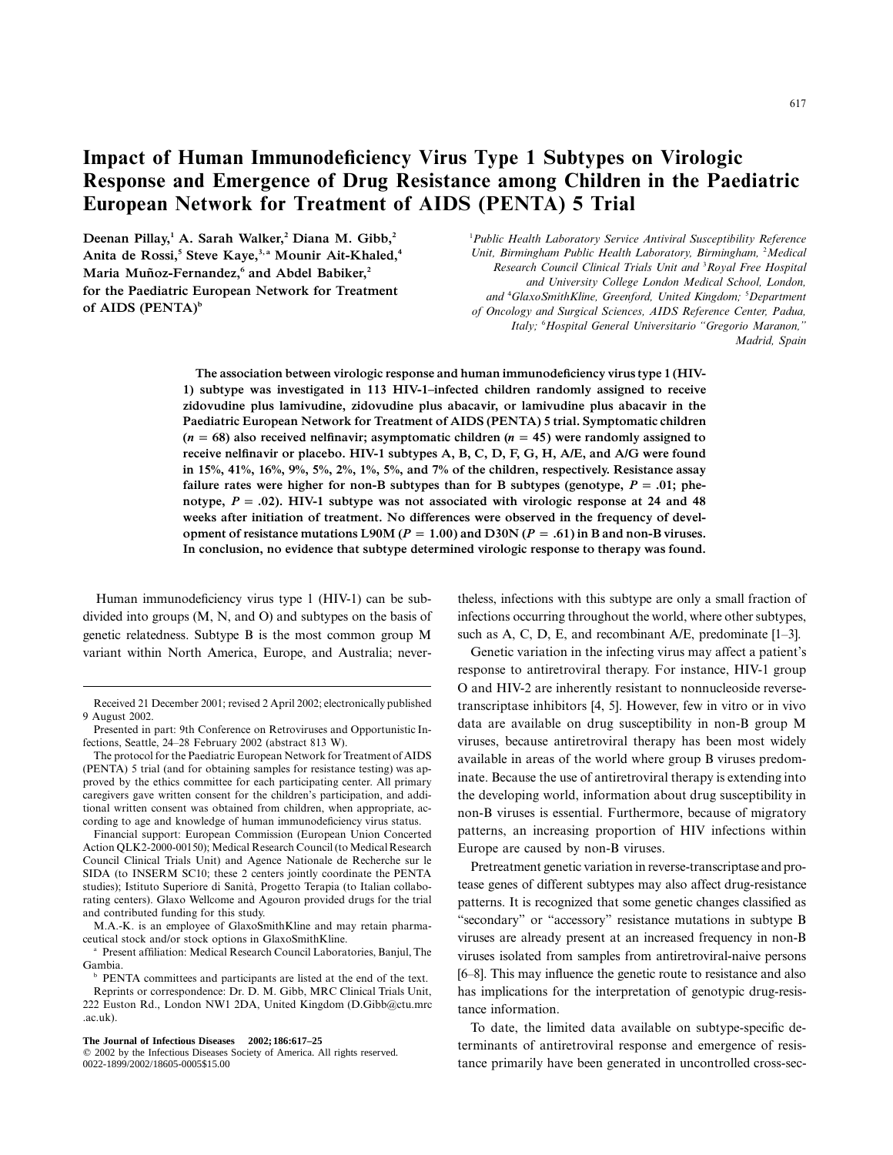# **Impact of Human Immunodeficiency Virus Type 1 Subtypes on Virologic Response and Emergence of Drug Resistance among Children in the Paediatric European Network for Treatment of AIDS (PENTA) 5 Trial**

Deenan Pillay,<sup>1</sup> A. Sarah Walker,<sup>2</sup> Diana M. Gibb,<sup>2</sup> Anita de Rossi,<sup>5</sup> Steve Kaye,<sup>3, a</sup> Mounir Ait-Khaled,<sup>4</sup> Maria Muñoz-Fernandez,<sup>6</sup> and Abdel Babiker,<sup>2</sup> **for the Paediatric European Network for Treatment** of AIDS (PENTA)<sup>b</sup>

1 *Public Health Laboratory Service Antiviral Susceptibility Reference Unit, Birmingham Public Health Laboratory, Birmingham,* <sup>2</sup> *Medical Research Council Clinical Trials Unit and* <sup>3</sup> *Royal Free Hospital and University College London Medical School, London, and* <sup>4</sup> *GlaxoSmithKline, Greenford, United Kingdom;* <sup>5</sup> *Department of Oncology and Surgical Sciences, AIDS Reference Center, Padua, Italy;* <sup>6</sup> *Hospital General Universitario "Gregorio Maranon,"*

*Madrid, Spain*

**The association between virologic response and human immunodeficiency virus type 1 (HIV-1) subtype was investigated in 113 HIV-1–infected children randomly assigned to receive zidovudine plus lamivudine, zidovudine plus abacavir, or lamivudine plus abacavir in the Paediatric European Network for Treatment of AIDS (PENTA) 5 trial. Symptomatic children**  $(n = 68)$  also received nelfinavir; asymptomatic children  $(n = 45)$  were randomly assigned to **receive nelfinavir or placebo. HIV-1 subtypes A, B, C, D, F, G, H, A/E, and A/G were found in 15%, 41%, 16%, 9%, 5%, 2%, 1%, 5%, and 7% of the children, respectively. Resistance assay failure rates were higher for non-B subtypes than for B subtypes (genotype,**  $P = .01$ **; phe**notype,  $P = .02$ ). HIV-1 subtype was not associated with virologic response at 24 and 48 **weeks after initiation of treatment. No differences were observed in the frequency of development of resistance mutations L90M (** $P = 1.00$ **) and D30N (** $P = .61$ **) in B and non-B viruses. In conclusion, no evidence that subtype determined virologic response to therapy was found.**

Human immunodeficiency virus type 1 (HIV-1) can be subdivided into groups (M, N, and O) and subtypes on the basis of genetic relatedness. Subtype B is the most common group M variant within North America, Europe, and Australia; never-

Financial support: European Commission (European Union Concerted Action QLK2-2000-00150); Medical Research Council (to Medical Research Council Clinical Trials Unit) and Agence Nationale de Recherche sur le SIDA (to INSERM SC10; these 2 centers jointly coordinate the PENTA studies); Istituto Superiore di Sanità, Progetto Terapia (to Italian collaborating centers). Glaxo Wellcome and Agouron provided drugs for the trial and contributed funding for this study.

M.A.-K. is an employee of GlaxoSmithKline and may retain pharmaceutical stock and/or stock options in GlaxoSmithKline.

<sup>a</sup> Present affiliation: Medical Research Council Laboratories, Banjul, The Gambia.

**b** PENTA committees and participants are listed at the end of the text.

Reprints or correspondence: Dr. D. M. Gibb, MRC Clinical Trials Unit, 222 Euston Rd., London NW1 2DA, United Kingdom (D.Gibb@ctu.mrc .ac.uk).

**The Journal of Infectious Diseases 2002;186:617–25**

theless, infections with this subtype are only a small fraction of infections occurring throughout the world, where other subtypes, such as A, C, D, E, and recombinant A/E, predominate [1–3].

Genetic variation in the infecting virus may affect a patient's response to antiretroviral therapy. For instance, HIV-1 group O and HIV-2 are inherently resistant to nonnucleoside reversetranscriptase inhibitors [4, 5]. However, few in vitro or in vivo data are available on drug susceptibility in non-B group M viruses, because antiretroviral therapy has been most widely available in areas of the world where group B viruses predominate. Because the use of antiretroviral therapy is extending into the developing world, information about drug susceptibility in non-B viruses is essential. Furthermore, because of migratory patterns, an increasing proportion of HIV infections within Europe are caused by non-B viruses.

Pretreatment genetic variation in reverse-transcriptase and protease genes of different subtypes may also affect drug-resistance patterns. It is recognized that some genetic changes classified as "secondary" or "accessory" resistance mutations in subtype B viruses are already present at an increased frequency in non-B viruses isolated from samples from antiretroviral-naive persons [6–8]. This may influence the genetic route to resistance and also has implications for the interpretation of genotypic drug-resistance information.

To date, the limited data available on subtype-specific determinants of antiretroviral response and emergence of resistance primarily have been generated in uncontrolled cross-sec-

Received 21 December 2001; revised 2 April 2002; electronically published 9 August 2002.

Presented in part: 9th Conference on Retroviruses and Opportunistic Infections, Seattle, 24–28 February 2002 (abstract 813 W).

The protocol for the Paediatric European Network for Treatment of AIDS (PENTA) 5 trial (and for obtaining samples for resistance testing) was approved by the ethics committee for each participating center. All primary caregivers gave written consent for the children's participation, and additional written consent was obtained from children, when appropriate, according to age and knowledge of human immunodeficiency virus status.

2002 by the Infectious Diseases Society of America. All rights reserved. 0022-1899/2002/18605-0005\$15.00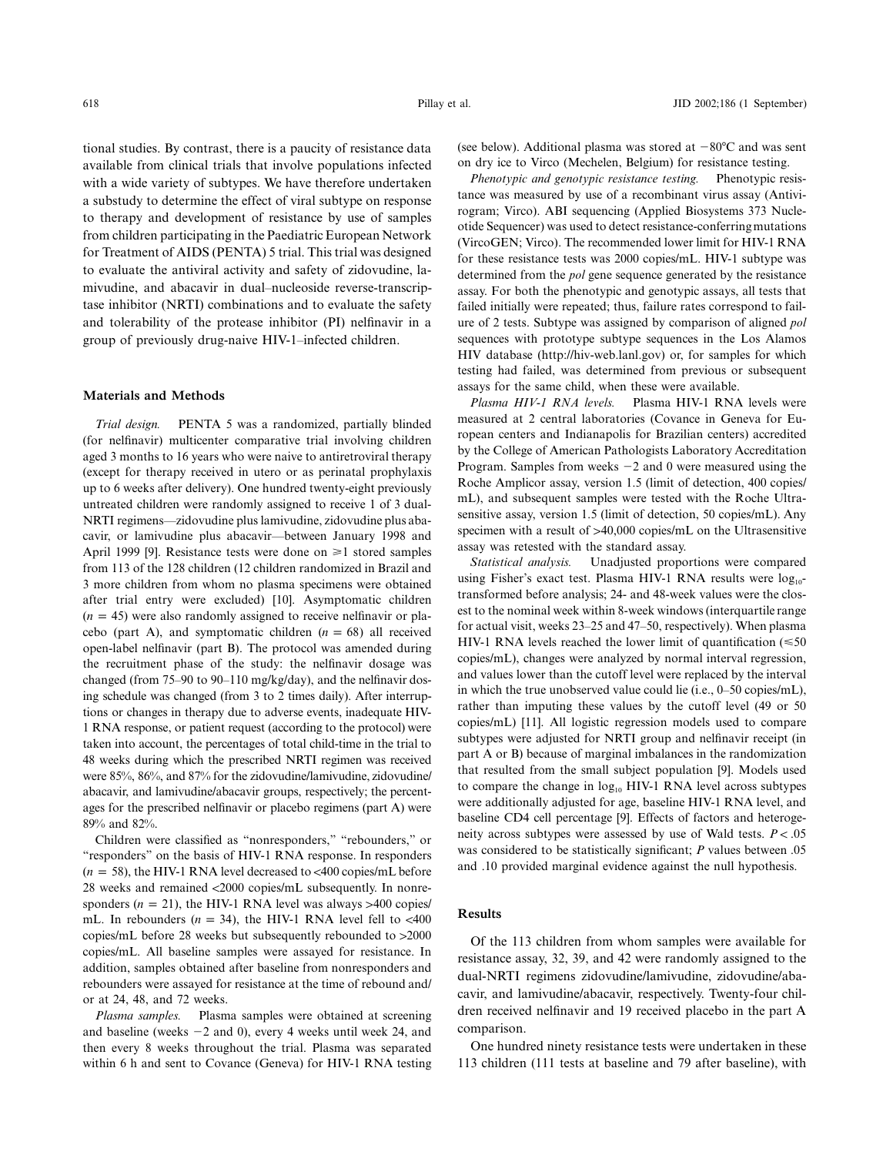tional studies. By contrast, there is a paucity of resistance data available from clinical trials that involve populations infected with a wide variety of subtypes. We have therefore undertaken a substudy to determine the effect of viral subtype on response to therapy and development of resistance by use of samples from children participating in the Paediatric European Network for Treatment of AIDS (PENTA) 5 trial. This trial was designed to evaluate the antiviral activity and safety of zidovudine, lamivudine, and abacavir in dual–nucleoside reverse-transcriptase inhibitor (NRTI) combinations and to evaluate the safety and tolerability of the protease inhibitor (PI) nelfinavir in a group of previously drug-naive HIV-1–infected children.

#### **Materials and Methods**

*Trial design.* PENTA 5 was a randomized, partially blinded (for nelfinavir) multicenter comparative trial involving children aged 3 months to 16 years who were naive to antiretroviral therapy (except for therapy received in utero or as perinatal prophylaxis up to 6 weeks after delivery). One hundred twenty-eight previously untreated children were randomly assigned to receive 1 of 3 dual-NRTI regimens—zidovudine plus lamivudine, zidovudine plus abacavir, or lamivudine plus abacavir—between January 1998 and April 1999 [9]. Resistance tests were done on  $\geq 1$  stored samples from 113 of the 128 children (12 children randomized in Brazil and 3 more children from whom no plasma specimens were obtained after trial entry were excluded) [10]. Asymptomatic children  $(n = 45)$  were also randomly assigned to receive nelfinavir or placebo (part A), and symptomatic children  $(n = 68)$  all received open-label nelfinavir (part B). The protocol was amended during the recruitment phase of the study: the nelfinavir dosage was changed (from 75–90 to 90–110 mg/kg/day), and the nelfinavir dosing schedule was changed (from 3 to 2 times daily). After interruptions or changes in therapy due to adverse events, inadequate HIV-1 RNA response, or patient request (according to the protocol) were taken into account, the percentages of total child-time in the trial to 48 weeks during which the prescribed NRTI regimen was received were 85%, 86%, and 87% for the zidovudine/lamivudine, zidovudine/ abacavir, and lamivudine/abacavir groups, respectively; the percentages for the prescribed nelfinavir or placebo regimens (part A) were 89% and 82%.

Children were classified as "nonresponders," "rebounders," or "responders" on the basis of HIV-1 RNA response. In responders  $(n = 58)$ , the HIV-1 RNA level decreased to <400 copies/mL before 28 weeks and remained <2000 copies/mL subsequently. In nonresponders  $(n = 21)$ , the HIV-1 RNA level was always  $>400$  copies/ mL. In rebounders  $(n = 34)$ , the HIV-1 RNA level fell to <400 copies/mL before 28 weeks but subsequently rebounded to  $>2000$ copies/mL. All baseline samples were assayed for resistance. In addition, samples obtained after baseline from nonresponders and rebounders were assayed for resistance at the time of rebound and/ or at 24, 48, and 72 weeks.

*Plasma samples.* Plasma samples were obtained at screening and baseline (weeks -2 and 0), every 4 weeks until week 24, and then every 8 weeks throughout the trial. Plasma was separated within 6 h and sent to Covance (Geneva) for HIV-1 RNA testing

(see below). Additional plasma was stored at  $-80^{\circ}$ C and was sent on dry ice to Virco (Mechelen, Belgium) for resistance testing.

*Phenotypic and genotypic resistance testing.* Phenotypic resistance was measured by use of a recombinant virus assay (Antivirogram; Virco). ABI sequencing (Applied Biosystems 373 Nucleotide Sequencer) was used to detect resistance-conferring mutations (VircoGEN; Virco). The recommended lower limit for HIV-1 RNA for these resistance tests was 2000 copies/mL. HIV-1 subtype was determined from the *pol* gene sequence generated by the resistance assay. For both the phenotypic and genotypic assays, all tests that failed initially were repeated; thus, failure rates correspond to failure of 2 tests. Subtype was assigned by comparison of aligned *pol* sequences with prototype subtype sequences in the Los Alamos HIV database (http://hiv-web.lanl.gov) or, for samples for which testing had failed, was determined from previous or subsequent assays for the same child, when these were available.

*Plasma HIV-1 RNA levels.* Plasma HIV-1 RNA levels were measured at 2 central laboratories (Covance in Geneva for European centers and Indianapolis for Brazilian centers) accredited by the College of American Pathologists Laboratory Accreditation Program. Samples from weeks  $-2$  and 0 were measured using the Roche Amplicor assay, version 1.5 (limit of detection, 400 copies/ mL), and subsequent samples were tested with the Roche Ultrasensitive assay, version 1.5 (limit of detection, 50 copies/mL). Any specimen with a result of >40,000 copies/mL on the Ultrasensitive assay was retested with the standard assay.

*Statistical analysis.* Unadjusted proportions were compared using Fisher's exact test. Plasma HIV-1 RNA results were  $log_{10}$ transformed before analysis; 24- and 48-week values were the closest to the nominal week within 8-week windows (interquartile range for actual visit, weeks 23–25 and 47–50, respectively). When plasma HIV-1 RNA levels reached the lower limit of quantification  $(\leq 50$ copies/mL), changes were analyzed by normal interval regression, and values lower than the cutoff level were replaced by the interval in which the true unobserved value could lie (i.e., 0–50 copies/mL), rather than imputing these values by the cutoff level (49 or 50 copies/mL) [11]. All logistic regression models used to compare subtypes were adjusted for NRTI group and nelfinavir receipt (in part A or B) because of marginal imbalances in the randomization that resulted from the small subject population [9]. Models used to compare the change in  $log_{10}$  HIV-1 RNA level across subtypes were additionally adjusted for age, baseline HIV-1 RNA level, and baseline CD4 cell percentage [9]. Effects of factors and heterogeneity across subtypes were assessed by use of Wald tests.  $P < .05$ was considered to be statistically significant; *P* values between .05 and .10 provided marginal evidence against the null hypothesis.

# **Results**

Of the 113 children from whom samples were available for resistance assay, 32, 39, and 42 were randomly assigned to the dual-NRTI regimens zidovudine/lamivudine, zidovudine/abacavir, and lamivudine/abacavir, respectively. Twenty-four children received nelfinavir and 19 received placebo in the part A comparison.

One hundred ninety resistance tests were undertaken in these 113 children (111 tests at baseline and 79 after baseline), with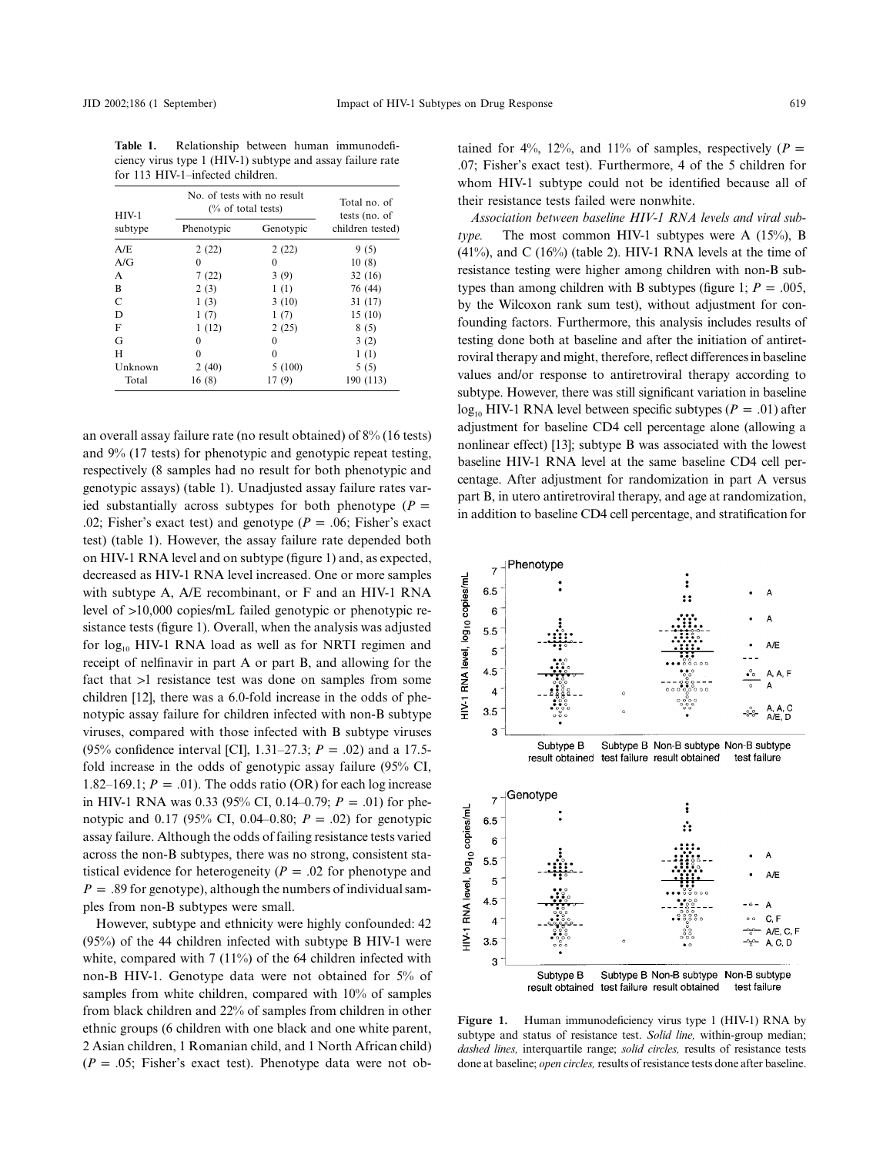for 113 HIV-1–infected children.

HIV-1 subtype No. of tests with no result  $\frac{1}{2}$  of total tests) Total no. of tests (no. of Phenotypic Genotypic children tested) A/E 2 (22) 2 (22) 9 (5)<br>A/G 0 0 10 (8)  $A/G$  0 0 10 (8) A  $7 (22)$  3 (9)  $32 (16)$ <br>B  $2 (3)$  1 (1)  $76 (44)$ B  $2 (3)$   $1 (1)$   $76 (44)$ <br>C  $1 (3)$   $3 (10)$   $31 (17)$ 1 (3) 3 (10) 31 (17) D  $1 (7)$   $1 (7)$   $1 (7)$   $15 (10)$ <br>F  $1 (12)$   $2 (25)$   $8 (5)$  $1(12)$   $2(25)$   $8(5)$ G 0 0 3 (2) H 0 0 1 (1) Unknown 2 (40) 5 (100) 5 (5) Total 16 (8) 17 (9) 190 (113)

**Table 1.** Relationship between human immunodeficiency virus type 1 (HIV-1) subtype and assay failure rate

an overall assay failure rate (no result obtained) of 8% (16 tests) and 9% (17 tests) for phenotypic and genotypic repeat testing, respectively (8 samples had no result for both phenotypic and genotypic assays) (table 1). Unadjusted assay failure rates varied substantially across subtypes for both phenotype  $(P =$ .02; Fisher's exact test) and genotype ( $P = .06$ ; Fisher's exact test) (table 1). However, the assay failure rate depended both on HIV-1 RNA level and on subtype (figure 1) and, as expected, decreased as HIV-1 RNA level increased. One or more samples with subtype A, A/E recombinant, or F and an HIV-1 RNA level of >10,000 copies/mL failed genotypic or phenotypic resistance tests (figure 1). Overall, when the analysis was adjusted for  $log_{10}$  HIV-1 RNA load as well as for NRTI regimen and receipt of nelfinavir in part A or part B, and allowing for the fact that  $>1$  resistance test was done on samples from some children [12], there was a 6.0-fold increase in the odds of phenotypic assay failure for children infected with non-B subtype viruses, compared with those infected with B subtype viruses (95% confidence interval [CI], 1.31–27.3;  $P = .02$ ) and a 17.5fold increase in the odds of genotypic assay failure (95% CI, 1.82–169.1;  $P = .01$ ). The odds ratio (OR) for each log increase in HIV-1 RNA was 0.33 (95% CI, 0.14–0.79;  $P = .01$ ) for phenotypic and 0.17 (95% CI, 0.04–0.80;  $P = .02$ ) for genotypic assay failure. Although the odds of failing resistance tests varied across the non-B subtypes, there was no strong, consistent statistical evidence for heterogeneity ( $P = .02$  for phenotype and  $P = .89$  for genotype), although the numbers of individual samples from non-B subtypes were small.

However, subtype and ethnicity were highly confounded: 42 (95%) of the 44 children infected with subtype B HIV-1 were white, compared with 7 (11%) of the 64 children infected with non-B HIV-1. Genotype data were not obtained for 5% of samples from white children, compared with 10% of samples from black children and 22% of samples from children in other ethnic groups (6 children with one black and one white parent, 2 Asian children, 1 Romanian child, and 1 North African child)  $(P = .05;$  Fisher's exact test). Phenotype data were not ob-

tained for  $4\%$ ,  $12\%$ , and  $11\%$  of samples, respectively (*P* = .07; Fisher's exact test). Furthermore, 4 of the 5 children for whom HIV-1 subtype could not be identified because all of their resistance tests failed were nonwhite.

*Association between baseline HIV-1 RNA levels and viral subtype.* The most common HIV-1 subtypes were A (15%), B  $(41\%)$ , and C  $(16\%)$  (table 2). HIV-1 RNA levels at the time of resistance testing were higher among children with non-B subtypes than among children with B subtypes (figure 1;  $P = .005$ , by the Wilcoxon rank sum test), without adjustment for confounding factors. Furthermore, this analysis includes results of testing done both at baseline and after the initiation of antiretroviral therapy and might, therefore, reflect differences in baseline values and/or response to antiretroviral therapy according to subtype. However, there was still significant variation in baseline  $log_{10}$  HIV-1 RNA level between specific subtypes ( $P = .01$ ) after adjustment for baseline CD4 cell percentage alone (allowing a nonlinear effect) [13]; subtype B was associated with the lowest baseline HIV-1 RNA level at the same baseline CD4 cell percentage. After adjustment for randomization in part A versus part B, in utero antiretroviral therapy, and age at randomization, in addition to baseline CD4 cell percentage, and stratification for



Figure 1. Human immunodeficiency virus type 1 (HIV-1) RNA by subtype and status of resistance test. *Solid line,* within-group median; *dashed lines,* interquartile range; *solid circles,* results of resistance tests done at baseline; *open circles*, results of resistance tests done after baseline.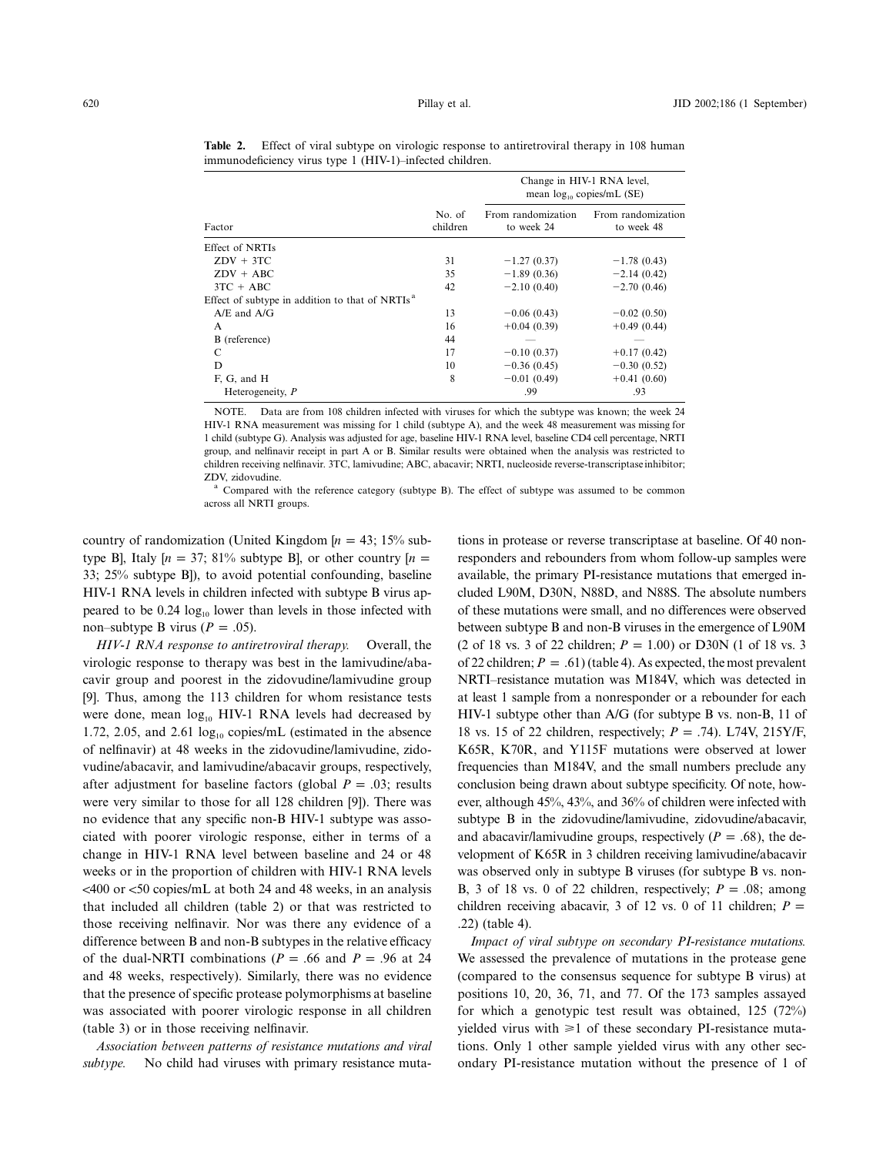|                                                             |                    | Change in HIV-1 RNA level,<br>mean $log_{10}$ copies/mL (SE) |                                  |  |  |
|-------------------------------------------------------------|--------------------|--------------------------------------------------------------|----------------------------------|--|--|
| Factor                                                      | No. of<br>children | From randomization<br>to week 24                             | From randomization<br>to week 48 |  |  |
| Effect of NRTIs                                             |                    |                                                              |                                  |  |  |
| $ZDV + 3TC$                                                 | 31                 | $-1.27(0.37)$                                                | $-1.78(0.43)$                    |  |  |
| $ZDV + ABC$                                                 | 35                 | $-1.89(0.36)$                                                | $-2.14(0.42)$                    |  |  |
| $3TC + ABC$                                                 | 42                 | $-2.10(0.40)$                                                | $-2.70(0.46)$                    |  |  |
| Effect of subtype in addition to that of NRTIs <sup>a</sup> |                    |                                                              |                                  |  |  |
| $A/E$ and $A/G$                                             | 13                 | $-0.06(0.43)$                                                | $-0.02(0.50)$                    |  |  |
| A                                                           | 16                 | $+0.04(0.39)$                                                | $+0.49(0.44)$                    |  |  |
| B (reference)                                               | 44                 |                                                              |                                  |  |  |
| C                                                           | 17                 | $-0.10(0.37)$                                                | $+0.17(0.42)$                    |  |  |
| D                                                           | 10                 | $-0.36(0.45)$                                                | $-0.30(0.52)$                    |  |  |
| F, G, and H                                                 | 8                  | $-0.01(0.49)$                                                | $+0.41(0.60)$                    |  |  |
| Heterogeneity, P                                            |                    | .99                                                          | .93                              |  |  |

**Table 2.** Effect of viral subtype on virologic response to antiretroviral therapy in 108 human immunodeficiency virus type 1 (HIV-1)–infected children.

NOTE. Data are from 108 children infected with viruses for which the subtype was known; the week 24 HIV-1 RNA measurement was missing for 1 child (subtype A), and the week 48 measurement was missing for 1 child (subtype G). Analysis was adjusted for age, baseline HIV-1 RNA level, baseline CD4 cell percentage, NRTI group, and nelfinavir receipt in part A or B. Similar results were obtained when the analysis was restricted to children receiving nelfinavir. 3TC, lamivudine; ABC, abacavir; NRTI, nucleoside reverse-transcriptase inhibitor;

ZDV, zidovudine. <sup>a</sup> Compared with the reference category (subtype B). The effect of subtype was assumed to be common across all NRTI groups.

country of randomization (United Kingdom  $[n = 43; 15\%$  subtype B], Italy  $[n = 37; 81\%$  subtype B], or other country  $[n = 1]$ 33; 25% subtype B]), to avoid potential confounding, baseline HIV-1 RNA levels in children infected with subtype B virus appeared to be  $0.24 \log_{10}$  lower than levels in those infected with non–subtype B virus ( $P = .05$ ).

*HIV-1 RNA response to antiretroviral therapy.* Overall, the virologic response to therapy was best in the lamivudine/abacavir group and poorest in the zidovudine/lamivudine group [9]. Thus, among the 113 children for whom resistance tests were done, mean  $log_{10}$  HIV-1 RNA levels had decreased by 1.72, 2.05, and 2.61  $log_{10}$  copies/mL (estimated in the absence of nelfinavir) at 48 weeks in the zidovudine/lamivudine, zidovudine/abacavir, and lamivudine/abacavir groups, respectively, after adjustment for baseline factors (global  $P = .03$ ; results were very similar to those for all 128 children [9]). There was no evidence that any specific non-B HIV-1 subtype was associated with poorer virologic response, either in terms of a change in HIV-1 RNA level between baseline and 24 or 48 weeks or in the proportion of children with HIV-1 RNA levels  $\langle 400 \text{ or } 50 \text{ copies/mL}$  at both 24 and 48 weeks, in an analysis that included all children (table 2) or that was restricted to those receiving nelfinavir. Nor was there any evidence of a difference between B and non-B subtypes in the relative efficacy of the dual-NRTI combinations ( $P = .66$  and  $P = .96$  at 24 and 48 weeks, respectively). Similarly, there was no evidence that the presence of specific protease polymorphisms at baseline was associated with poorer virologic response in all children (table 3) or in those receiving nelfinavir.

*Association between patterns of resistance mutations and viral subtype.* No child had viruses with primary resistance muta-

tions in protease or reverse transcriptase at baseline. Of 40 nonresponders and rebounders from whom follow-up samples were available, the primary PI-resistance mutations that emerged included L90M, D30N, N88D, and N88S. The absolute numbers of these mutations were small, and no differences were observed between subtype B and non-B viruses in the emergence of L90M  $(2 \text{ of } 18 \text{ vs. } 3 \text{ of } 22 \text{ children}; P = 1.00) \text{ or } D30N$  (1 of 18 vs. 3 of 22 children;  $P = .61$ ) (table 4). As expected, the most prevalent NRTI–resistance mutation was M184V, which was detected in at least 1 sample from a nonresponder or a rebounder for each HIV-1 subtype other than A/G (for subtype B vs. non-B, 11 of 18 vs. 15 of 22 children, respectively;  $P = .74$ ). L74V, 215Y/F, K65R, K70R, and Y115F mutations were observed at lower frequencies than M184V, and the small numbers preclude any conclusion being drawn about subtype specificity. Of note, however, although 45%, 43%, and 36% of children were infected with subtype B in the zidovudine/lamivudine, zidovudine/abacavir, and abacavir/lamivudine groups, respectively ( $P = .68$ ), the development of K65R in 3 children receiving lamivudine/abacavir was observed only in subtype B viruses (for subtype B vs. non-B, 3 of 18 vs. 0 of 22 children, respectively;  $P = .08$ ; among children receiving abacavir, 3 of 12 vs. 0 of 11 children;  $P =$ .22) (table 4).

*Impact of viral subtype on secondary PI-resistance mutations.* We assessed the prevalence of mutations in the protease gene (compared to the consensus sequence for subtype B virus) at positions 10, 20, 36, 71, and 77. Of the 173 samples assayed for which a genotypic test result was obtained, 125 (72%) yielded virus with  $\geq 1$  of these secondary PI-resistance mutations. Only 1 other sample yielded virus with any other secondary PI-resistance mutation without the presence of 1 of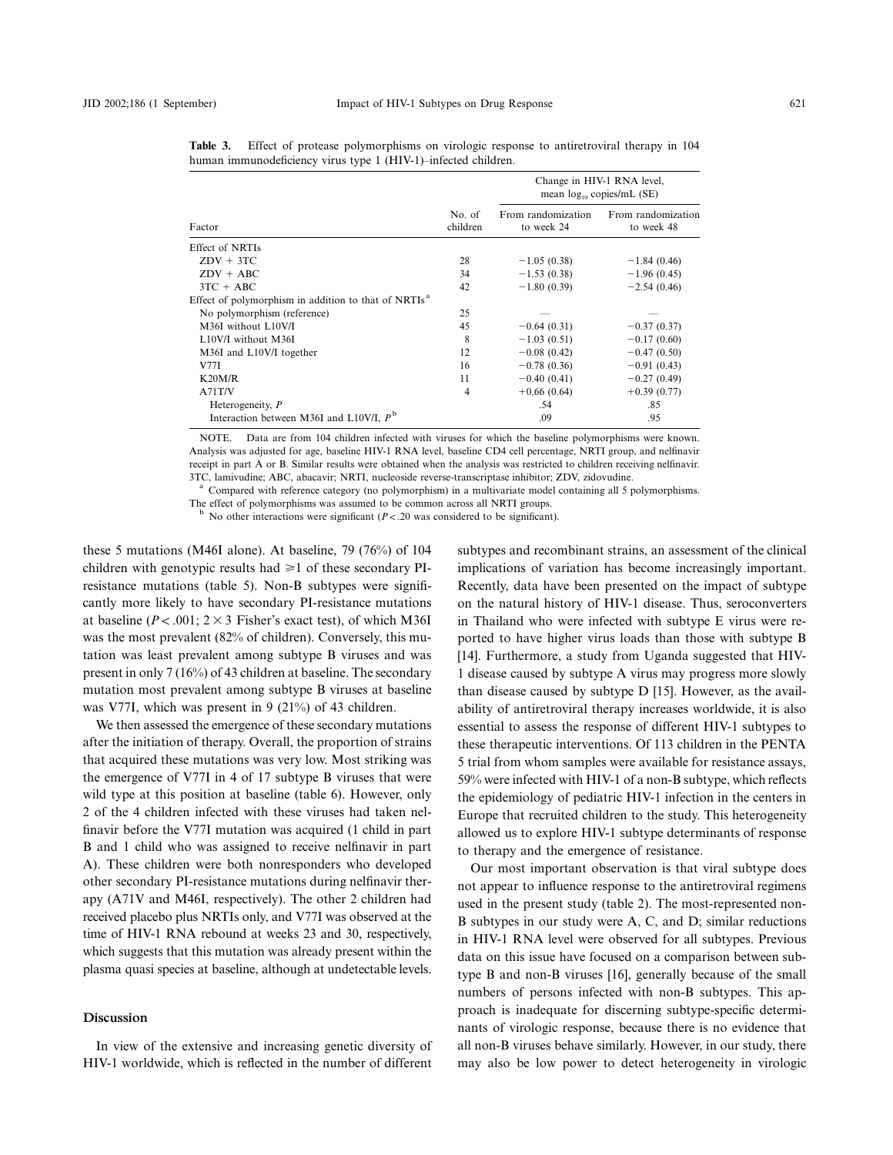Factor

Effect of NRTIs  $ZDV + 3TC$ 

 $ZDV + ABC$ 

| V-1)–infected children.<br>Change in HIV-1 RNA level,<br>mean $log_{10}$ copies/mL (SE) |                    |                                  |                                  |  |  |  |  |
|-----------------------------------------------------------------------------------------|--------------------|----------------------------------|----------------------------------|--|--|--|--|
|                                                                                         | No. of<br>children | From randomization<br>to week 24 | From randomization<br>to week 48 |  |  |  |  |
|                                                                                         | 28                 | $-1.05(0.38)$                    | $-1.84(0.46)$                    |  |  |  |  |
|                                                                                         | 34                 | $-1.53(0.38)$                    | $-1.96(0.45)$                    |  |  |  |  |

 $-2.54(0.46)$ 

 $-0.37(0.37)$ 

 $-0.17(0.60)$ 

 $-0.47(0.50)$ 

 $-0.91(0.43)$ 

 $-0.27(0.49)$ 

 $-1.80(0.39)$ 

 $-0.64(0.31)$ 

 $-1.03(0.51)$ 

 $-0.08(0.42)$ 

 $-0.78(0.36)$ 

 $-0.40(0.41)$ 

**Table 3.** Effect of protease polymorphisms on virologic response to antiretroviral therapy in 104 human immunodeficiency virus type 1 (HI)

Data are from 104 children infected with viruses for which the baseline polymorphisms were known. Analysis was adjusted for age, baseline HIV-1 RNA level, baseline CD4 cell percentage, NRTI group, and nelfinavir receipt in part A or B. Similar results were obtained when the analysis was restricted to children receiving nelfinavir.

A71T/V  $4 +0.66 (0.64) +0.39 (0.77)$ Heterogeneity, *P* .85<br>Interaction between M36I and L10V/L  $P^{\text{b}}$  .54 .85

3TC, lamivudine; ABC, abacavir; NRTI, nucleoside reverse-transcriptase inhibitor; ZDV, zidovudine. <sup>a</sup> Compared with reference category (no polymorphism) in a multivariate model containing all 5 polymorphisms. The effect of polymorphisms was assumed to be common across all NRTI groups.<br><sup>b</sup> No other interactions were significant ( $P < 20$  was considered to be significant).

 $3TC + ABC$  42

L10V/I without M36I 8

M36I and L10V/I together 12<br>V77I 16

 $V77I$  16 -

 $K20M/R$  11  $-$ 

Effect of polymorphism in addition to that of NRTIs<sup>a</sup> No polymorphism (reference) 25 M36I without L10V/I 45

Interaction between M36I and L10V/I,  $P<sup>b</sup>$ 

these 5 mutations (M46I alone). At baseline, 79 (76%) of 104 children with genotypic results had  $\geq 1$  of these secondary PIresistance mutations (table 5). Non-B subtypes were significantly more likely to have secondary PI-resistance mutations at baseline ( $P < .001$ ;  $2 \times 3$  Fisher's exact test), of which M36I was the most prevalent (82% of children). Conversely, this mutation was least prevalent among subtype B viruses and was present in only 7 (16%) of 43 children at baseline. The secondary mutation most prevalent among subtype B viruses at baseline was V77I, which was present in 9 (21%) of 43 children.

We then assessed the emergence of these secondary mutations after the initiation of therapy. Overall, the proportion of strains that acquired these mutations was very low. Most striking was the emergence of V77I in 4 of 17 subtype B viruses that were wild type at this position at baseline (table 6). However, only 2 of the 4 children infected with these viruses had taken nelfinavir before the V77I mutation was acquired (1 child in part B and 1 child who was assigned to receive nelfinavir in part A). These children were both nonresponders who developed other secondary PI-resistance mutations during nelfinavir therapy (A71V and M46I, respectively). The other 2 children had received placebo plus NRTIs only, and V77I was observed at the time of HIV-1 RNA rebound at weeks 23 and 30, respectively, which suggests that this mutation was already present within the plasma quasi species at baseline, although at undetectable levels.

#### **Discussion**

In view of the extensive and increasing genetic diversity of HIV-1 worldwide, which is reflected in the number of different

subtypes and recombinant strains, an assessment of the clinical implications of variation has become increasingly important. Recently, data have been presented on the impact of subtype on the natural history of HIV-1 disease. Thus, seroconverters in Thailand who were infected with subtype E virus were reported to have higher virus loads than those with subtype B [14]. Furthermore, a study from Uganda suggested that HIV-1 disease caused by subtype A virus may progress more slowly than disease caused by subtype D [15]. However, as the availability of antiretroviral therapy increases worldwide, it is also essential to assess the response of different HIV-1 subtypes to these therapeutic interventions. Of 113 children in the PENTA 5 trial from whom samples were available for resistance assays, 59% were infected with HIV-1 of a non-B subtype, which reflects the epidemiology of pediatric HIV-1 infection in the centers in Europe that recruited children to the study. This heterogeneity allowed us to explore HIV-1 subtype determinants of response to therapy and the emergence of resistance.

Our most important observation is that viral subtype does not appear to influence response to the antiretroviral regimens used in the present study (table 2). The most-represented non-B subtypes in our study were A, C, and D; similar reductions in HIV-1 RNA level were observed for all subtypes. Previous data on this issue have focused on a comparison between subtype B and non-B viruses [16], generally because of the small numbers of persons infected with non-B subtypes. This approach is inadequate for discerning subtype-specific determinants of virologic response, because there is no evidence that all non-B viruses behave similarly. However, in our study, there may also be low power to detect heterogeneity in virologic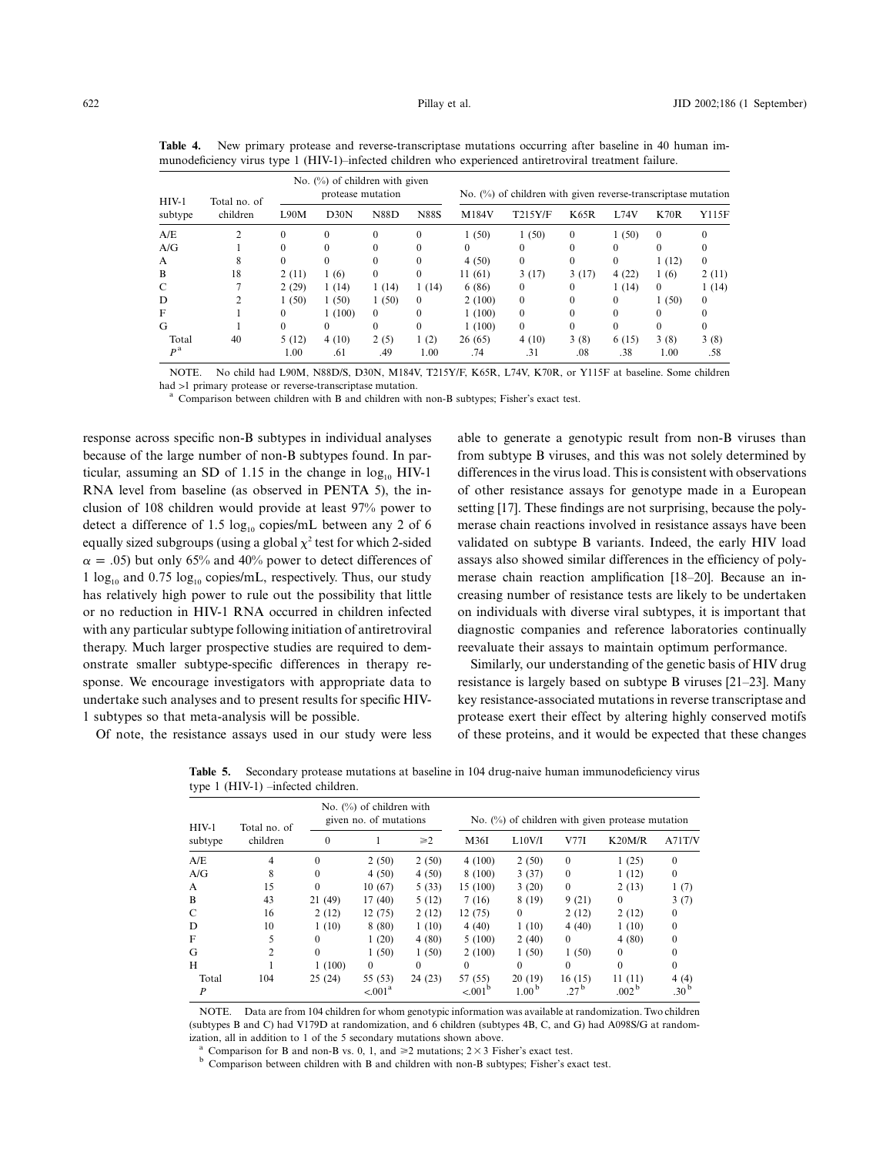| $HIV-1$<br>subtype | Total no. of<br>children | No. $(\%)$ of children with given<br>protease mutation |        |             | No. $(\%)$ of children with given reverse-transcriptase mutation |          |          |             |             |          |          |
|--------------------|--------------------------|--------------------------------------------------------|--------|-------------|------------------------------------------------------------------|----------|----------|-------------|-------------|----------|----------|
|                    |                          | 1.90M                                                  | D30N   | <b>N88D</b> | <b>N88S</b>                                                      | M184V    | T215Y/F  | <b>K65R</b> | <b>L74V</b> | K70R     | Y115F    |
| A/E                |                          | $\theta$                                               |        | 0           | $\theta$                                                         | 1(50)    | 1(50)    | $\Omega$    | 1(50)       | $\theta$ |          |
| A/G                |                          | 0                                                      | 0      | 0           | 0                                                                | $\theta$ | 0        | 0           | 0           | 0        |          |
| A                  |                          |                                                        |        | 0           | $\theta$                                                         | 4(50)    | $\theta$ | $\theta$    | $\theta$    | 1(12)    | $\theta$ |
| B                  | 18                       | 2(11)                                                  | 1(6)   | $\Omega$    | $\theta$                                                         | 11(61)   | 3(17)    | 3(17)       | 4(22)       | 1(6)     | 2(11)    |
| C                  |                          | 2(29)                                                  | 1(14)  | 1(14)       | 1(14)                                                            | 6(86)    | 0        | $\theta$    | 1(14)       | $\theta$ | 1(14)    |
| D                  |                          | 1(50)                                                  | 1(50)  | 1(50)       | $\theta$                                                         | 2(100)   | $\Omega$ | $\theta$    | $\Omega$    | 1(50)    | $\theta$ |
| F                  |                          | 0                                                      | 1(100) | $\theta$    | $\Omega$                                                         | 1(100)   | $\Omega$ | 0           | $\Omega$    | 0        |          |
| G                  |                          | 0                                                      | $_{0}$ | $\Omega$    | $\theta$                                                         | 1(100)   | $\Omega$ | $\theta$    | 0           | 0        | 0        |
| Total              | 40                       | 5(12)                                                  | 4(10)  | 2(5)        | 1(2)                                                             | 26(65)   | 4(10)    | 3(8)        | 6(15)       | 3(8)     | 3(8)     |
| $P^{\text{a}}$     |                          | 1.00                                                   | .61    | .49         | 1.00                                                             | .74      | .31      | .08         | .38         | 1.00     | .58      |

**Table 4.** New primary protease and reverse-transcriptase mutations occurring after baseline in 40 human immunodeficiency virus type 1 (HIV-1)–infected children who experienced antiretroviral treatment failure.

NOTE. No child had L90M, N88D/S, D30N, M184V, T215Y/F, K65R, L74V, K70R, or Y115F at baseline. Some children had >1 primary protease or reverse-transcriptase mutation.<br><sup>a</sup> Comparison between children with B and children with non-B subtypes; Fisher's exact test.

response across specific non-B subtypes in individual analyses because of the large number of non-B subtypes found. In particular, assuming an SD of 1.15 in the change in  $log_{10}$  HIV-1 RNA level from baseline (as observed in PENTA 5), the inclusion of 108 children would provide at least 97% power to detect a difference of 1.5  $log_{10}$  copies/mL between any 2 of 6 equally sized subgroups (using a global  $\chi^2$  test for which 2-sided  $\alpha$  = .05) but only 65% and 40% power to detect differences of 1  $log_{10}$  and 0.75  $log_{10}$  copies/mL, respectively. Thus, our study has relatively high power to rule out the possibility that little or no reduction in HIV-1 RNA occurred in children infected with any particular subtype following initiation of antiretroviral therapy. Much larger prospective studies are required to demonstrate smaller subtype-specific differences in therapy response. We encourage investigators with appropriate data to undertake such analyses and to present results for specific HIV-1 subtypes so that meta-analysis will be possible.

Of note, the resistance assays used in our study were less

able to generate a genotypic result from non-B viruses than from subtype B viruses, and this was not solely determined by differences in the virus load. This is consistent with observations of other resistance assays for genotype made in a European setting [17]. These findings are not surprising, because the polymerase chain reactions involved in resistance assays have been validated on subtype B variants. Indeed, the early HIV load assays also showed similar differences in the efficiency of polymerase chain reaction amplification [18–20]. Because an increasing number of resistance tests are likely to be undertaken on individuals with diverse viral subtypes, it is important that diagnostic companies and reference laboratories continually reevaluate their assays to maintain optimum performance.

Similarly, our understanding of the genetic basis of HIV drug resistance is largely based on subtype B viruses [21–23]. Many key resistance-associated mutations in reverse transcriptase and protease exert their effect by altering highly conserved motifs of these proteins, and it would be expected that these changes

| $HIV-1$<br>subtype | Total no. of<br>children | No. $(\%)$ of children with<br>given no. of mutations |           |               | No. $(\%)$ of children with given protease mutation |                   |              |                   |                  |
|--------------------|--------------------------|-------------------------------------------------------|-----------|---------------|-----------------------------------------------------|-------------------|--------------|-------------------|------------------|
|                    |                          | $\theta$                                              |           | $\geqslant$ 2 | M36I                                                | L10V/I            | V77I         | K20M/R            | A71T/V           |
| A/E                |                          | $\theta$                                              | 2(50)     | 2(50)         | 4(100)                                              | 2(50)             | $\Omega$     | 1(25)             | $\theta$         |
| A/G                | 8                        | 0                                                     | 4(50)     | 4(50)         | 8 (100)                                             | 3(37)             | $\Omega$     | 1(12)             | 0                |
| А                  | 15                       | $\theta$                                              | 10(67)    | 5(33)         | 15 (100)                                            | 3(20)             | $\Omega$     | 2(13)             | 1(7)             |
| B                  | 43                       | 21(49)                                                | 17(40)    | 5(12)         | 7(16)                                               | 8(19)             | 9(21)        | 0                 | 3(7)             |
| C                  | 16                       | 2(12)                                                 | 12(75)    | 2(12)         | 12(75)                                              | 0                 | 2(12)        | 2(12)             | 0                |
| D                  | 10                       | 1(10)                                                 | 8(80)     | 1(10)         | 4(40)                                               | 1(10)             | 4(40)        | 1(10)             | $\Omega$         |
| F                  |                          | 0                                                     | 1(20)     | 4(80)         | 5(100)                                              | 2(40)             | $\Omega$     | 4(80)             |                  |
| G                  | 2                        | $\Omega$                                              | 1(50)     | 1(50)         | 2(100)                                              | 1(50)             | 1(50)        | 0                 |                  |
| H                  |                          | 1(100)                                                | $\theta$  | $\theta$      | $\theta$                                            | $\theta$          | $\Omega$     | $\Omega$          |                  |
| Total              | 104                      | 25(24)                                                | 55 (53)   | 24(23)        | 57 (55)                                             | 20(19)            | 16(15)       | 11(11)            | 4(4)             |
| P                  |                          |                                                       | $< 001^a$ |               | < 0.001                                             | 1.00 <sup>b</sup> | $27^{\circ}$ | .002 <sup>b</sup> | .30 <sup>b</sup> |

**Table 5.** Secondary protease mutations at baseline in 104 drug-naive human immunodeficiency virus type 1 (HIV-1) –infected children.

NOTE. Data are from 104 children for whom genotypic information was available at randomization. Two children (subtypes B and C) had V179D at randomization, and 6 children (subtypes 4B, C, and G) had A098S/G at randomization, all in addition to 1 of the 5 secondary mutations shown above.<br><sup>a</sup> Comparison for B and non-B vs. 0, 1, and  $\geq 2$  mutations;  $2 \times 3$  Fisher's exact test.<br><sup>b</sup> Comparison between children with B and children with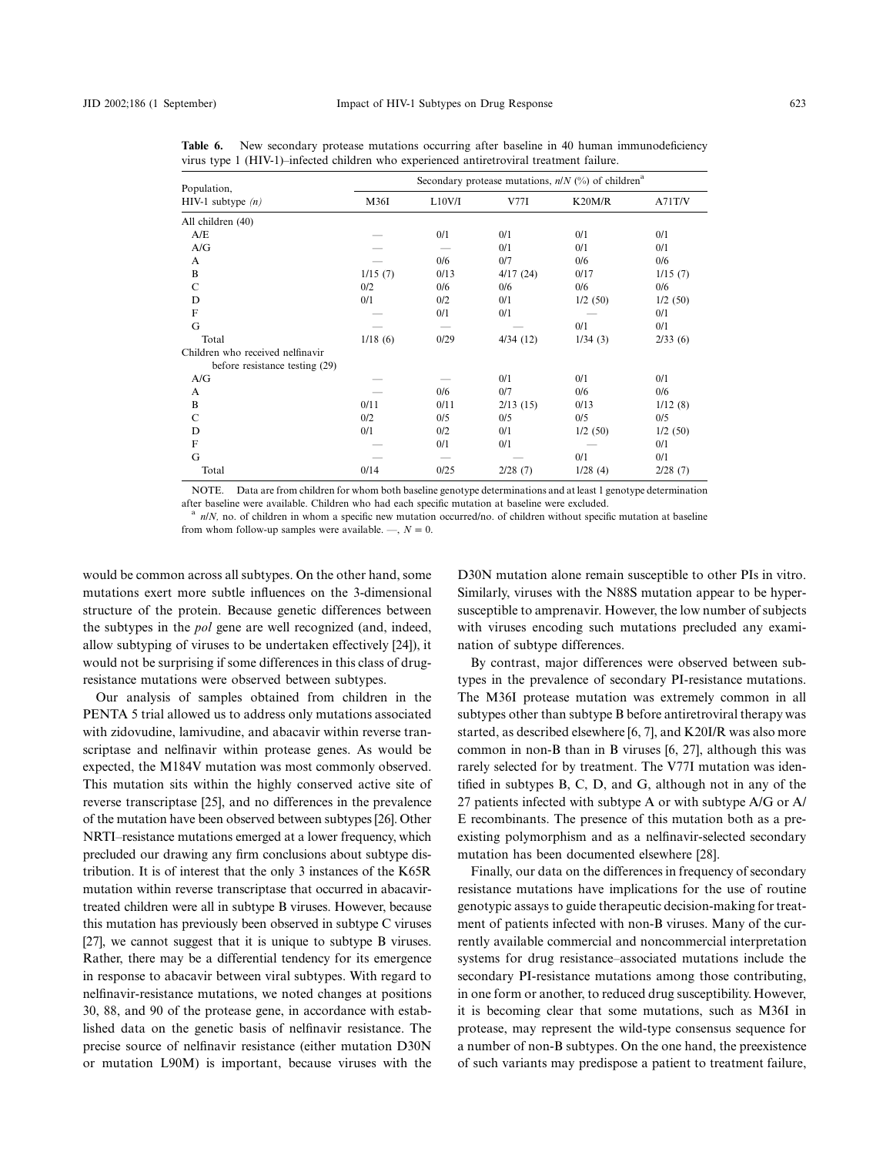| Population,                      | Secondary protease mutations, $n/N$ (%) of children <sup>a</sup> |        |          |         |         |  |  |  |  |
|----------------------------------|------------------------------------------------------------------|--------|----------|---------|---------|--|--|--|--|
| HIV-1 subtype $(n)$              | M36I                                                             | L10V/I | V77I     | K20M/R  | A71T/V  |  |  |  |  |
| All children (40)                |                                                                  |        |          |         |         |  |  |  |  |
| A/E                              |                                                                  | 0/1    | 0/1      | 0/1     | 0/1     |  |  |  |  |
| A/G                              |                                                                  |        | 0/1      | 0/1     | 0/1     |  |  |  |  |
| A                                |                                                                  | 0/6    | 0/7      | 0/6     | 0/6     |  |  |  |  |
| B                                | 1/15(7)                                                          | 0/13   | 4/17(24) | 0/17    | 1/15(7) |  |  |  |  |
| $\mathbf C$                      | 0/2                                                              | 0/6    | 0/6      | 0/6     | 0/6     |  |  |  |  |
| D                                | 0/1                                                              | 0/2    | 0/1      | 1/2(50) | 1/2(50) |  |  |  |  |
| $\mathbf{F}$                     |                                                                  | 0/1    | 0/1      |         | 0/1     |  |  |  |  |
| G                                |                                                                  |        |          | 0/1     | 0/1     |  |  |  |  |
| Total                            | 1/18(6)                                                          | 0/29   | 4/34(12) | 1/34(3) | 2/33(6) |  |  |  |  |
| Children who received nelfinavir |                                                                  |        |          |         |         |  |  |  |  |
| before resistance testing (29)   |                                                                  |        |          |         |         |  |  |  |  |
| A/G                              |                                                                  |        | 0/1      | 0/1     | 0/1     |  |  |  |  |
| A                                |                                                                  | 0/6    | 0/7      | 0/6     | 0/6     |  |  |  |  |
| B                                | 0/11                                                             | 0/11   | 2/13(15) | 0/13    | 1/12(8) |  |  |  |  |
| C                                | 0/2                                                              | 0/5    | 0/5      | 0/5     | 0/5     |  |  |  |  |
| D                                | 0/1                                                              | 0/2    | 0/1      | 1/2(50) | 1/2(50) |  |  |  |  |
| F                                |                                                                  | 0/1    | 0/1      |         | 0/1     |  |  |  |  |
| G                                |                                                                  |        |          | 0/1     | 0/1     |  |  |  |  |
| Total                            | 0/14                                                             | 0/25   | 2/28(7)  | 1/28(4) | 2/28(7) |  |  |  |  |

Table 6. New secondary protease mutations occurring after baseline in 40 human immunodeficiency virus type 1 (HIV-1)–infected children who experienced antiretroviral treatment failure.

NOTE. Data are from children for whom both baseline genotype determinations and at least 1 genotype determination

after baseline were available. Children who had each specific mutation at baseline were excluded.<br><sup>a</sup>  $n/N$ , no. of children in whom a specific new mutation occurred/no. of children without specific mutation at baseline from whom follow-up samples were available.  $\ldots$ ,  $N = 0$ .

would be common across all subtypes. On the other hand, some mutations exert more subtle influences on the 3-dimensional structure of the protein. Because genetic differences between the subtypes in the *pol* gene are well recognized (and, indeed, allow subtyping of viruses to be undertaken effectively [24]), it would not be surprising if some differences in this class of drugresistance mutations were observed between subtypes.

Our analysis of samples obtained from children in the PENTA 5 trial allowed us to address only mutations associated with zidovudine, lamivudine, and abacavir within reverse transcriptase and nelfinavir within protease genes. As would be expected, the M184V mutation was most commonly observed. This mutation sits within the highly conserved active site of reverse transcriptase [25], and no differences in the prevalence of the mutation have been observed between subtypes [26]. Other NRTI–resistance mutations emerged at a lower frequency, which precluded our drawing any firm conclusions about subtype distribution. It is of interest that the only 3 instances of the K65R mutation within reverse transcriptase that occurred in abacavirtreated children were all in subtype B viruses. However, because this mutation has previously been observed in subtype C viruses [27], we cannot suggest that it is unique to subtype B viruses. Rather, there may be a differential tendency for its emergence in response to abacavir between viral subtypes. With regard to nelfinavir-resistance mutations, we noted changes at positions 30, 88, and 90 of the protease gene, in accordance with established data on the genetic basis of nelfinavir resistance. The precise source of nelfinavir resistance (either mutation D30N or mutation L90M) is important, because viruses with the

D30N mutation alone remain susceptible to other PIs in vitro. Similarly, viruses with the N88S mutation appear to be hypersusceptible to amprenavir. However, the low number of subjects with viruses encoding such mutations precluded any examination of subtype differences.

By contrast, major differences were observed between subtypes in the prevalence of secondary PI-resistance mutations. The M36I protease mutation was extremely common in all subtypes other than subtype B before antiretroviral therapy was started, as described elsewhere [6, 7], and K20I/R was also more common in non-B than in B viruses [6, 27], although this was rarely selected for by treatment. The V77I mutation was identified in subtypes B, C, D, and G, although not in any of the 27 patients infected with subtype A or with subtype A/G or A/ E recombinants. The presence of this mutation both as a preexisting polymorphism and as a nelfinavir-selected secondary mutation has been documented elsewhere [28].

Finally, our data on the differences in frequency of secondary resistance mutations have implications for the use of routine genotypic assays to guide therapeutic decision-making for treatment of patients infected with non-B viruses. Many of the currently available commercial and noncommercial interpretation systems for drug resistance–associated mutations include the secondary PI-resistance mutations among those contributing, in one form or another, to reduced drug susceptibility. However, it is becoming clear that some mutations, such as M36I in protease, may represent the wild-type consensus sequence for a number of non-B subtypes. On the one hand, the preexistence of such variants may predispose a patient to treatment failure,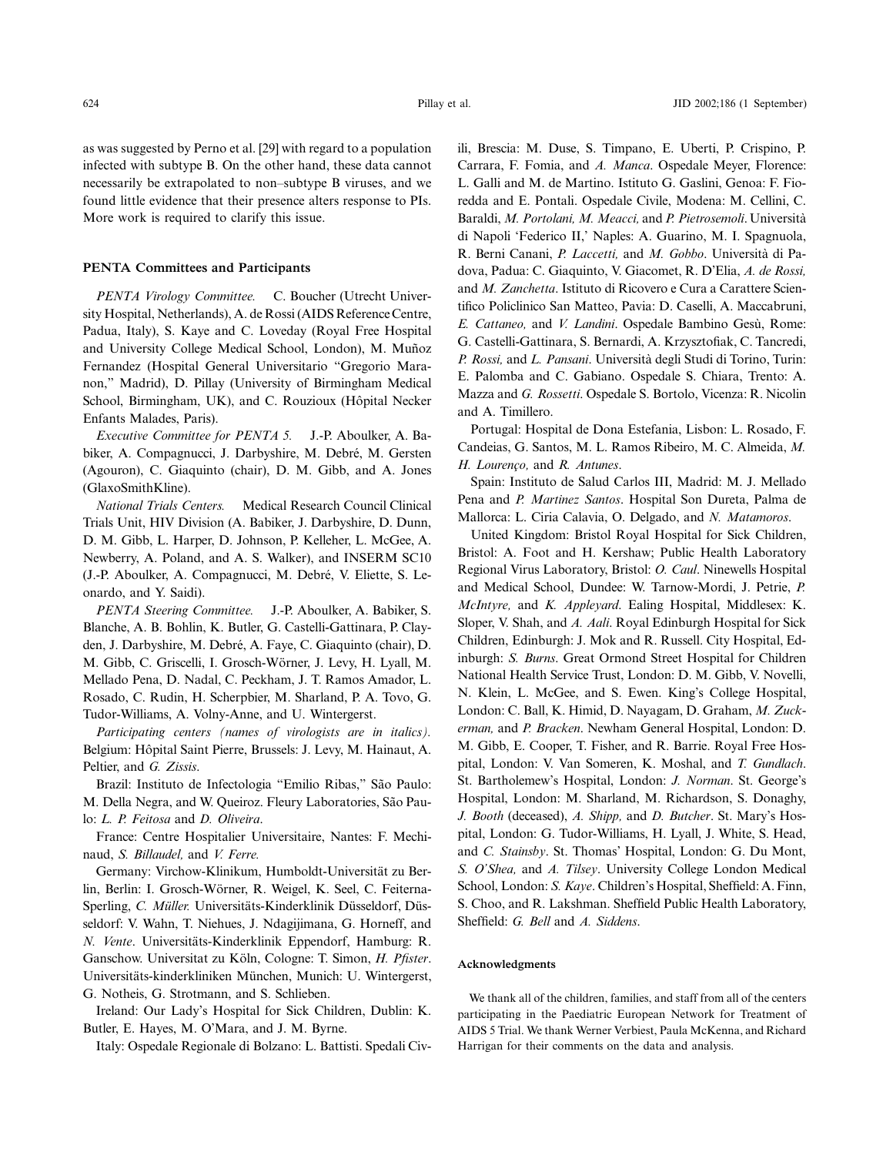as was suggested by Perno et al. [29] with regard to a population infected with subtype B. On the other hand, these data cannot necessarily be extrapolated to non–subtype B viruses, and we found little evidence that their presence alters response to PIs. More work is required to clarify this issue.

### **PENTA Committees and Participants**

*PENTA Virology Committee.* C. Boucher (Utrecht University Hospital, Netherlands), A. de Rossi (AIDS Reference Centre, Padua, Italy), S. Kaye and C. Loveday (Royal Free Hospital and University College Medical School, London), M. Muñoz Fernandez (Hospital General Universitario "Gregorio Maranon," Madrid), D. Pillay (University of Birmingham Medical School, Birmingham, UK), and C. Rouzioux (Hôpital Necker Enfants Malades, Paris).

*Executive Committee for PENTA 5.* J.-P. Aboulker, A. Babiker, A. Compagnucci, J. Darbyshire, M. Debré, M. Gersten (Agouron), C. Giaquinto (chair), D. M. Gibb, and A. Jones (GlaxoSmithKline).

*National Trials Centers.* Medical Research Council Clinical Trials Unit, HIV Division (A. Babiker, J. Darbyshire, D. Dunn, D. M. Gibb, L. Harper, D. Johnson, P. Kelleher, L. McGee, A. Newberry, A. Poland, and A. S. Walker), and INSERM SC10 (J.-P. Aboulker, A. Compagnucci, M. Debré, V. Eliette, S. Leonardo, and Y. Saidi).

*PENTA Steering Committee.* J.-P. Aboulker, A. Babiker, S. Blanche, A. B. Bohlin, K. Butler, G. Castelli-Gattinara, P. Clayden, J. Darbyshire, M. Debré, A. Faye, C. Giaquinto (chair), D. M. Gibb, C. Griscelli, I. Grosch-Wörner, J. Levy, H. Lyall, M. Mellado Pena, D. Nadal, C. Peckham, J. T. Ramos Amador, L. Rosado, C. Rudin, H. Scherpbier, M. Sharland, P. A. Tovo, G. Tudor-Williams, A. Volny-Anne, and U. Wintergerst.

*Participating centers (names of virologists are in italics).* Belgium: Hôpital Saint Pierre, Brussels: J. Levy, M. Hainaut, A. Peltier, and *G. Zissis*.

Brazil: Instituto de Infectologia "Emilio Ribas," São Paulo: M. Della Negra, and W. Queiroz. Fleury Laboratories, São Paulo: *L. P. Feitosa* and *D. Oliveira*.

France: Centre Hospitalier Universitaire, Nantes: F. Mechinaud, *S. Billaudel,* and *V. Ferre.*

Germany: Virchow-Klinikum, Humboldt-Universität zu Berlin, Berlin: I. Grosch-Wörner, R. Weigel, K. Seel, C. Feiterna-Sperling, *C. Müller*. Universitäts-Kinderklinik Düsseldorf, Düsseldorf: V. Wahn, T. Niehues, J. Ndagijimana, G. Horneff, and *N. Vente.* Universitäts-Kinderklinik Eppendorf, Hamburg: R. Ganschow. Universitat zu Köln, Cologne: T. Simon, *H. Pfister*. Universitäts-kinderkliniken München, Munich: U. Wintergerst, G. Notheis, G. Strotmann, and S. Schlieben.

Ireland: Our Lady's Hospital for Sick Children, Dublin: K. Butler, E. Hayes, M. O'Mara, and J. M. Byrne.

Italy: Ospedale Regionale di Bolzano: L. Battisti. Spedali Civ-

ili, Brescia: M. Duse, S. Timpano, E. Uberti, P. Crispino, P. Carrara, F. Fomia, and *A. Manca*. Ospedale Meyer, Florence: L. Galli and M. de Martino. Istituto G. Gaslini, Genoa: F. Fioredda and E. Pontali. Ospedale Civile, Modena: M. Cellini, C. Baraldi, *M. Portolani, M. Meacci,* and *P. Pietrosemoli*. Universita` di Napoli 'Federico II,' Naples: A. Guarino, M. I. Spagnuola, R. Berni Canani, *P. Laccetti,* and *M. Gobbo*. Universita` di Padova, Padua: C. Giaquinto, V. Giacomet, R. D'Elia, *A. de Rossi,* and *M. Zanchetta*. Istituto di Ricovero e Cura a Carattere Scientifico Policlinico San Matteo, Pavia: D. Caselli, A. Maccabruni, *E. Cattaneo, and V. Landini. Ospedale Bambino Gesù, Rome:* G. Castelli-Gattinara, S. Bernardi, A. Krzysztofiak, C. Tancredi, *P. Rossi,* and *L. Pansani*. Universita` degli Studi di Torino, Turin: E. Palomba and C. Gabiano. Ospedale S. Chiara, Trento: A. Mazza and *G. Rossetti*. Ospedale S. Bortolo, Vicenza: R. Nicolin and A. Timillero.

Portugal: Hospital de Dona Estefania, Lisbon: L. Rosado, F. Candeias, G. Santos, M. L. Ramos Ribeiro, M. C. Almeida, *M. H. Lourenc¸o,* and *R. Antunes*.

Spain: Instituto de Salud Carlos III, Madrid: M. J. Mellado Pena and *P. Martinez Santos*. Hospital Son Dureta, Palma de Mallorca: L. Ciria Calavia, O. Delgado, and *N. Matamoros*.

United Kingdom: Bristol Royal Hospital for Sick Children, Bristol: A. Foot and H. Kershaw; Public Health Laboratory Regional Virus Laboratory, Bristol: *O. Caul*. Ninewells Hospital and Medical School, Dundee: W. Tarnow-Mordi, J. Petrie, *P. McIntyre,* and *K. Appleyard*. Ealing Hospital, Middlesex: K. Sloper, V. Shah, and *A. Aali*. Royal Edinburgh Hospital for Sick Children, Edinburgh: J. Mok and R. Russell. City Hospital, Edinburgh: *S. Burns*. Great Ormond Street Hospital for Children National Health Service Trust, London: D. M. Gibb, V. Novelli, N. Klein, L. McGee, and S. Ewen. King's College Hospital, London: C. Ball, K. Himid, D. Nayagam, D. Graham, *M. Zuckerman,* and *P. Bracken*. Newham General Hospital, London: D. M. Gibb, E. Cooper, T. Fisher, and R. Barrie. Royal Free Hospital, London: V. Van Someren, K. Moshal, and *T. Gundlach*. St. Bartholemew's Hospital, London: *J. Norman*. St. George's Hospital, London: M. Sharland, M. Richardson, S. Donaghy, *J. Booth* (deceased), *A. Shipp,* and *D. Butcher*. St. Mary's Hospital, London: G. Tudor-Williams, H. Lyall, J. White, S. Head, and *C. Stainsby*. St. Thomas' Hospital, London: G. Du Mont, *S. O'Shea,* and *A. Tilsey*. University College London Medical School, London: *S. Kaye*. Children's Hospital, Sheffield: A. Finn, S. Choo, and R. Lakshman. Sheffield Public Health Laboratory, Sheffield: *G. Bell* and *A. Siddens*.

## **Acknowledgments**

We thank all of the children, families, and staff from all of the centers participating in the Paediatric European Network for Treatment of AIDS 5 Trial. We thank Werner Verbiest, Paula McKenna, and Richard Harrigan for their comments on the data and analysis.